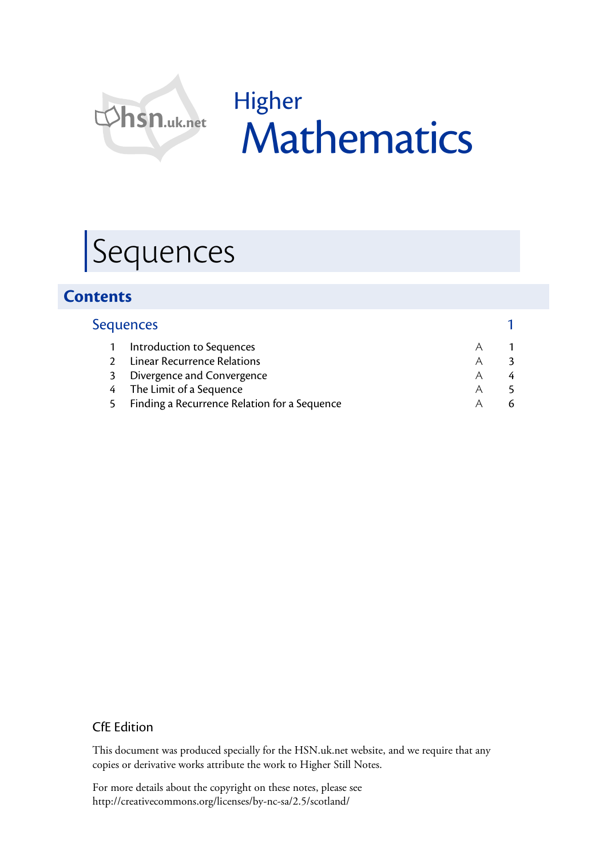

# Higher Mathematics

# Sequences

## **Contents**

|   | <b>Sequences</b>                             |   |  |
|---|----------------------------------------------|---|--|
|   | Introduction to Sequences                    | А |  |
|   | <b>Linear Recurrence Relations</b>           | Α |  |
| 3 | Divergence and Convergence                   | A |  |
|   | 4 The Limit of a Sequence                    | A |  |
|   | Finding a Recurrence Relation for a Sequence |   |  |

#### CfE Edition

This document was produced specially for the HSN.uk.net website, and we require that any copies or derivative works attribute the work to Higher Still Notes.

For more details about the copyright on these notes, please see http://creativecommons.org/licenses/by-nc-sa/2.5/scotland/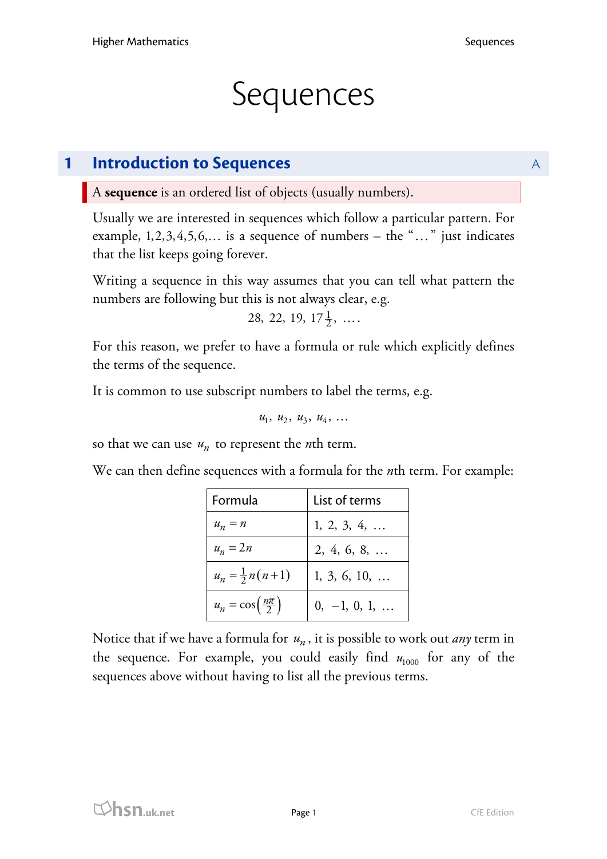## **Sequences**

## **1 Introduction to Sequences** A

A **sequence** is an ordered list of objects (usually numbers).

Usually we are interested in sequences which follow a particular pattern. For example,  $1, 2, 3, 4, 5, 6, \ldots$  is a sequence of numbers – the " $\ldots$ " just indicates that the list keeps going forever.

Writing a sequence in this way assumes that you can tell what pattern the numbers are following but this is not always clear, e.g.

```
28, 22, 19, 17\frac{1}{2}, ...
```
For this reason, we prefer to have a formula or rule which explicitly defines the terms of the sequence.

It is common to use subscript numbers to label the terms, e.g.

 $u_1, u_2, u_3, u_4, ...$ 

so that we can use  $u_n$  to represent the *n*th term.

We can then define sequences with a formula for the *n*th term. For example:

| Formula                                 | List of terms         |  |
|-----------------------------------------|-----------------------|--|
| $u_n = n$                               | 1, 2, 3, 4,           |  |
| $u_n = 2n$                              | 2, 4, 6, 8,           |  |
| $u_n = \frac{1}{2}n(n+1)$               | $1, 3, 6, 10, \ldots$ |  |
| $u_n = \cos\left(\frac{n\pi}{2}\right)$ | $0, -1, 0, 1, $       |  |

Notice that if we have a formula for *un* , it is possible to work out *any* term in the sequence. For example, you could easily find  $u_{1000}$  for any of the sequences above without having to list all the previous terms.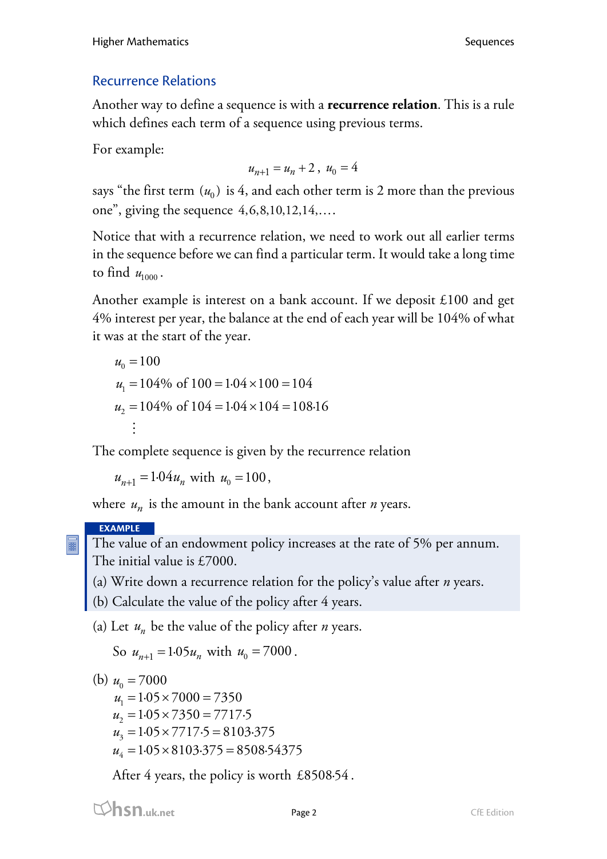### Recurrence Relations

Another way to define a sequence is with a **recurrence relation**. This is a rule which defines each term of a sequence using previous terms.

For example:

$$
u_{n+1} = u_n + 2 \ , \ u_0 = 4
$$

says "the first term  $(u_0)$  is 4, and each other term is 2 more than the previous one", giving the sequence  $4,6,8,10,12,14,\ldots$ 

Notice that with a recurrence relation, we need to work out all earlier terms in the sequence before we can find a particular term. It would take a long time to find  $u_{1000}$ .

Another example is interest on a bank account. If we deposit £100 and get 4% interest per year, the balance at the end of each year will be 104% of what it was at the start of the year.

$$
u_0 = 100
$$
  
\n
$$
u_1 = 104\% \text{ of } 100 = 1.04 \times 100 = 104
$$
  
\n
$$
u_2 = 104\% \text{ of } 104 = 1.04 \times 104 = 108.16
$$
  
\n
$$
\vdots
$$

The complete sequence is given by the recurrence relation

$$
u_{n+1} = 1.04 u_n \text{ with } u_0 = 100,
$$

where  $u_n$  is the amount in the bank account after *n* years.

#### **EXAMPLE**

The value of an endowment policy increases at the rate of 5% per annum. The initial value is £7000.

(a) Write down a recurrence relation for the policy's value after *n* years.

- (b) Calculate the value of the policy after 4 years.
- (a) Let  $u_n$  be the value of the policy after *n* years.

So  $u_{n+1} = 1.05 u_n$  with  $u_0 = 7000$ .

(b)  $u_0 = 7000$ 

- $u_1 = 1.05 \times 7000 = 7350$
- $u_2 = 1.05 \times 7350 = 7717.5$
- $u_3 = 1.05 \times 7717.5 = 8103.375$
- $u_4 = 1.05 \times 8103.375 = 8508.54375$

After 4 years, the policy is worth £8508·54 .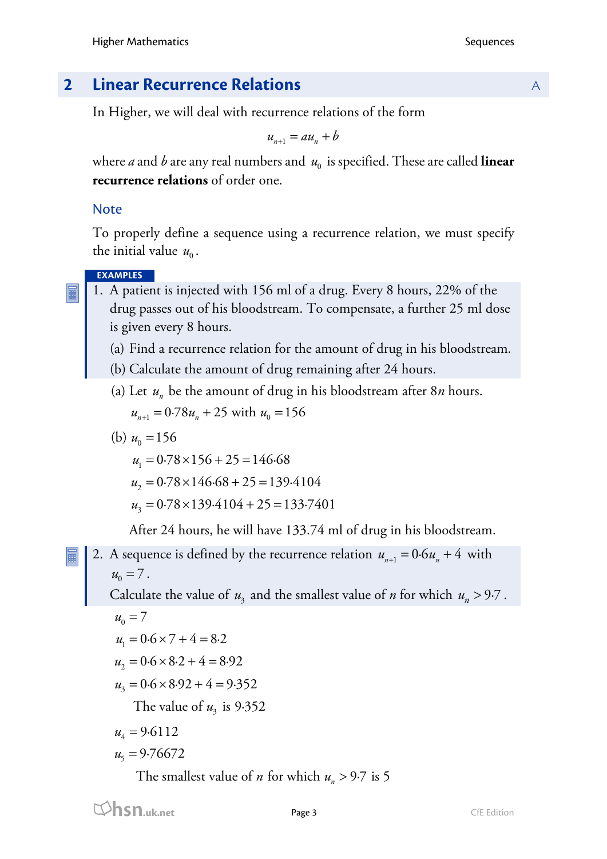## **2 Linear Recurrence Relations** A

In Higher, we will deal with recurrence relations of the form

 $u_{n+1} = au_n + b$ 

where *a* and *b* are any real numbers and  $u_0$  is specified. These are called **linear recurrence relations** of order one.

#### Note

To properly define a sequence using a recurrence relation, we must specify the initial value  $u_0$ .

#### **EXAMPLES**

- 1. A patient is injected with 156 ml of a drug. Every 8 hours, 22% of the drug passes out of his bloodstream. To compensate, a further 25 ml dose is given every 8 hours.
	- (a) Find a recurrence relation for the amount of drug in his bloodstream.
	- (b) Calculate the amount of drug remaining after 24 hours.
	- (a) Let  $u_n$  be the amount of drug in his bloodstream after  $8n$  hours.  $u_{n+1} = 0.78u_n + 25$  with  $u_0 = 156$

(b) 
$$
u_0 = 156
$$
  
\n $u_1 = 0.78 \times 156 + 25 = 146.68$   
\n $u_2 = 0.78 \times 146.68 + 25 = 139.4104$   
\n $u_3 = 0.78 \times 139.4104 + 25 = 133.7401$ 

After 24 hours, he will have 133.74 ml of drug in his bloodstream.

2. A sequence is defined by the recurrence relation  $u_{n+1} = 0.6 u_n + 4$  with  $u_0 = 7$ .

Calculate the value of  $u_3$  and the smallest value of *n* for which  $u_n > 9.7$ .

$$
u_0 = 7
$$

$$
u_1 = 0.6 \times 7 + 4 = 8.2
$$

$$
u_2 = 0.6 \times 8.2 + 4 = 8.92
$$

$$
u_3 = 0.6 \times 8.92 + 4 = 9.352
$$

The value of  $u_3$  is 9.352

$$
u_4 = 9.6112
$$

$$
u_5 = 9.76672
$$

The smallest value of *n* for which  $u_n > 9.7$  is 5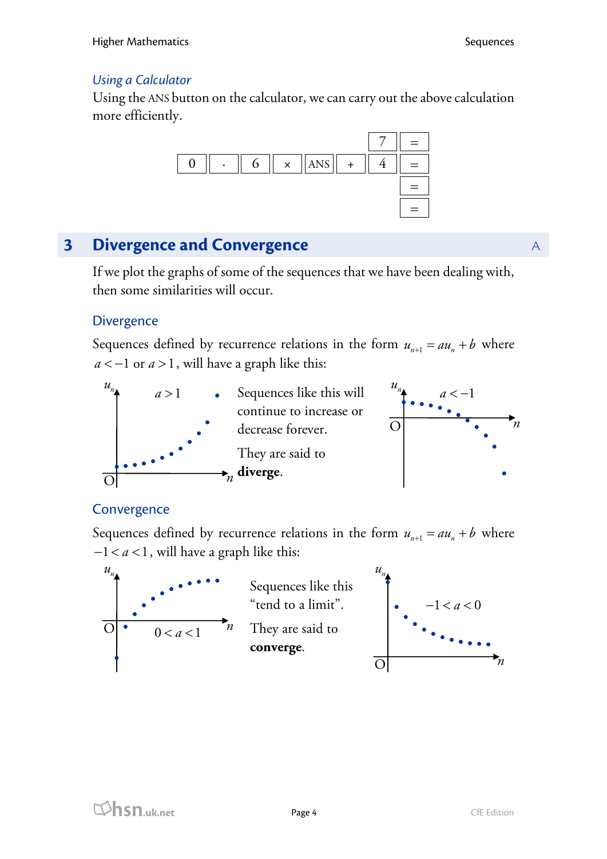#### *Using a Calculator*

Using the ANS button on the calculator, we can carry out the above calculation more efficiently.



## **3 Divergence and Convergence** A **A**

If we plot the graphs of some of the sequences that we have been dealing with, then some similarities will occur.

#### **Divergence**

Sequences defined by recurrence relations in the form  $u_{n+1} = au_n + b$  where  $a < -1$  or  $a > 1$ , will have a graph like this:





#### **Convergence**

Sequences defined by recurrence relations in the form  $u_{n+1} = au_n + b$  where  $-1 < a < 1$ , will have a graph like this:

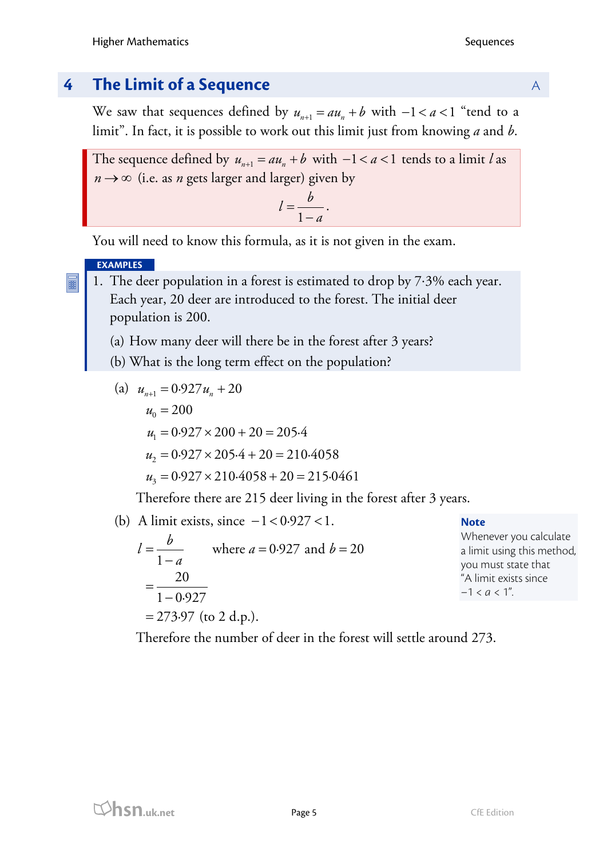## **4 <b>The Limit of a Sequence** A **A**

We saw that sequences defined by  $u_{n+1} = au_n + b$  with  $-1 < a < 1$  "tend to a limit". In fact, it is possible to work out this limit just from knowing *a* and *b*.

The sequence defined by  $u_{n+1} = au_n + b$  with  $-1 < a < 1$  tends to a limit *l* as  $n \rightarrow \infty$  (i.e. as *n* gets larger and larger) given by

$$
l=\frac{b}{1-a}.
$$

You will need to know this formula, as it is not given in the exam.

#### **EXAMPLES**

1. The deer population in a forest is estimated to drop by 7⋅3% each year. Each year, 20 deer are introduced to the forest. The initial deer population is 200.

- (a) How many deer will there be in the forest after 3 years?
- (b) What is the long term effect on the population?

(a) 
$$
u_{n+1} = 0.927 u_n + 20
$$
  
\n $u_0 = 200$   
\n $u_1 = 0.927 \times 200 + 20 = 205.4$   
\n $u_2 = 0.927 \times 205.4 + 20 = 210.4058$   
\n $u_3 = 0.927 \times 210.4058 + 20 = 215.0461$ 

Therefore there are 215 deer living in the forest after 3 years.

(b) A limit exists, since  $-1 < 0.927 < 1$ . where  $a = 0.927$  and  $b = 20$ 1 20  $=\frac{20}{1-0.927}$  $= 273.97$  (to 2 d.p.).  $l = \frac{b}{1-a}$  where  $a = 0.927$  and  $b =$ 

#### **Note**

Whenever you calculate a limit using this method, you must state that "A limit exists since  $-1 < a < 1$ ".

Therefore the number of deer in the forest will settle around 273.